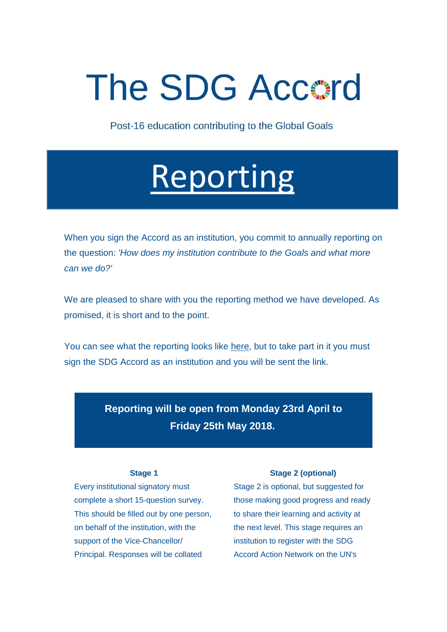## **The SDG Accord**

Post-16 education contributing to the Global Goals

## [Reporting](http://www.eauc.org.uk/file_uploads/reporting.pdf)

When you sign the Accord as an institution, you commit to annually reporting on the question: *'How does my institution contribute to the Goals and what more can we do?'*

We are pleased to share with you the reporting method we have developed. As promised, it is short and to the point.

You can see what the reporting looks like [here,](http://www.eauc.org.uk/file_uploads/reporting.pdf) but to take part in it you must sign the SDG Accord as an institution and you will be sent the link.

> **Reporting will be open from Monday 23rd April to Friday 25th May 2018.**

## **Stage 1**

Every institutional signatory must complete a short 15-question survey. This should be filled out by one person, on behalf of the institution, with the support of the Vice-Chancellor/ Principal. Responses will be collated

## **Stage 2 (optional)**

Stage 2 is optional, but suggested for those making good progress and ready to share their learning and activity at the next level. This stage requires an institution to register with the SDG Accord Action Network on the UN's